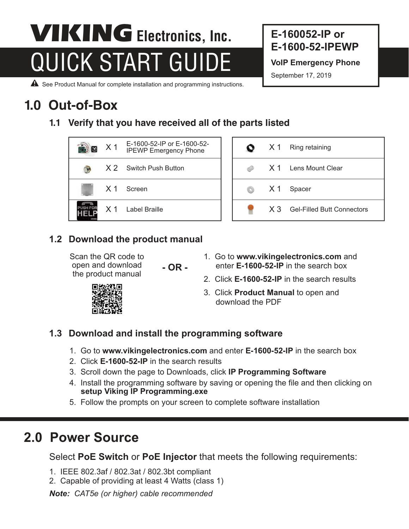# **QUICK START GUIDE** VoIP Emergency Phone **VIKING** Electronics, Inc.

A See Product Manual for complete installation and programming instructions.

# **1.0 Out-of-Box**

#### **1.1 Verify that you have received all of the parts listed**





**E-160052-IP or** 

September 17, 2019

**E-1600-52-IPEWP**

#### **1.2 Download the product manual**

Scan the QR code to open and download the product manual

1. Go to **www.vikingelectronics.com** and enter **E-1600-52-IP** in the search box

- 2. Click **E-1600-52-IP** in the search results
- 3. Click **Product Manual** to open and download the PDF

#### **1.3 Download and install the programming software**

**- OR -**

- 1. Go to **www.vikingelectronics.com** and enter **E-1600-52-IP** in the search box
- 2. Click **E-1600-52-IP** in the search results
- 3. Scroll down the page to Downloads, click **IP Programming Software**
- 4. Install the programming software by saving or opening the file and then clicking on **setup Viking IP Programming.exe**
- 5. Follow the prompts on your screen to complete software installation

## **2.0 Power Source**

Select **PoE Switch** or **PoE Injector** that meets the following requirements:

- 1. IEEE 802.3af / 802.3at / 802.3bt compliant
- 2. Capable of providing at least 4 Watts (class 1)

*Note: CAT5e (or higher) cable recommended*